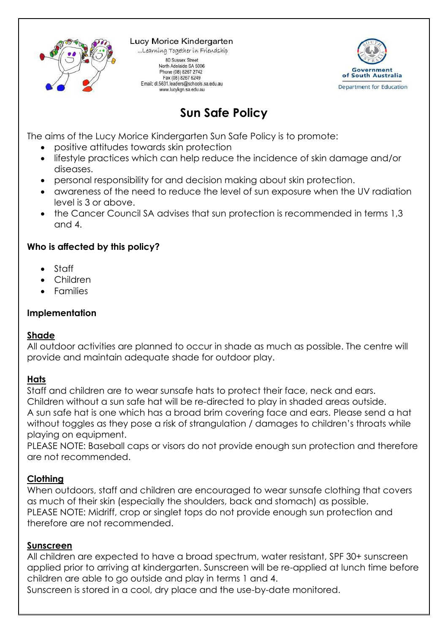

Lucy Morice Kindergarten ...Learning Together in Friendship 80 Sussex Street North Adelaide SA 5006 Phone (08) 8267 2742 Fax (08) 8267 6249 Email: dl.5631.leaders@schools.sa.edu.au www.lucykgn.sa.edu.au



# **Sun Safe Policy**

The aims of the Lucy Morice Kindergarten Sun Safe Policy is to promote:

- positive attitudes towards skin protection
- lifestyle practices which can help reduce the incidence of skin damage and/or diseases.
- personal responsibility for and decision making about skin protection.
- awareness of the need to reduce the level of sun exposure when the UV radiation level is 3 or above.
- the Cancer Council SA advises that sun protection is recommended in terms 1,3 and 4.

## **Who is affected by this policy?**

- Staff
- Children
- Families

# **Implementation**

## **Shade**

All outdoor activities are planned to occur in shade as much as possible. The centre will provide and maintain adequate shade for outdoor play.

## **Hats**

Staff and children are to wear sunsafe hats to protect their face, neck and ears. Children without a sun safe hat will be re-directed to play in shaded areas outside. A sun safe hat is one which has a broad brim covering face and ears. Please send a hat without toggles as they pose a risk of strangulation / damages to children's throats while playing on equipment.

PLEASE NOTE: Baseball caps or visors do not provide enough sun protection and therefore are not recommended.

# **Clothing**

When outdoors, staff and children are encouraged to wear sunsafe clothing that covers as much of their skin (especially the shoulders, back and stomach) as possible. PLEASE NOTE: Midriff, crop or singlet tops do not provide enough sun protection and therefore are not recommended.

## **Sunscreen**

All children are expected to have a broad spectrum, water resistant, SPF 30+ sunscreen applied prior to arriving at kindergarten. Sunscreen will be re-applied at lunch time before children are able to go outside and play in terms 1 and 4.

Sunscreen is stored in a cool, dry place and the use-by-date monitored.